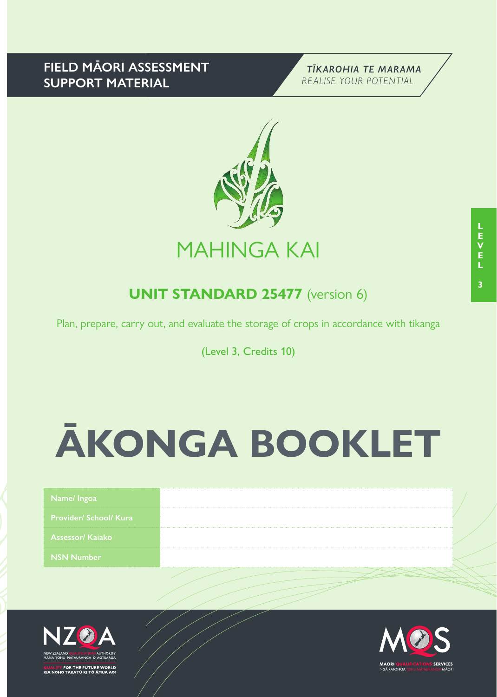## **FIELD MĀORI ASSESSMENT SUPPORT MATERIAL**





# **UNIT STANDARD 25477** (version 6)

Plan, prepare, carry out, and evaluate the storage of crops in accordance with tikanga

(Level 3, Credits 10)

# **ĀKONGA BOOKLET**

| <b>Provider/ School/ Kura</b><br><b>Assessor/ Kajako</b><br><b>NSN Number</b> | Name/ Ingoa |  |
|-------------------------------------------------------------------------------|-------------|--|
|                                                                               |             |  |
|                                                                               |             |  |
|                                                                               |             |  |



FOR THE FUTURE WORLD<br>O TAKATŪ KI TÕ ĀMUA AO!

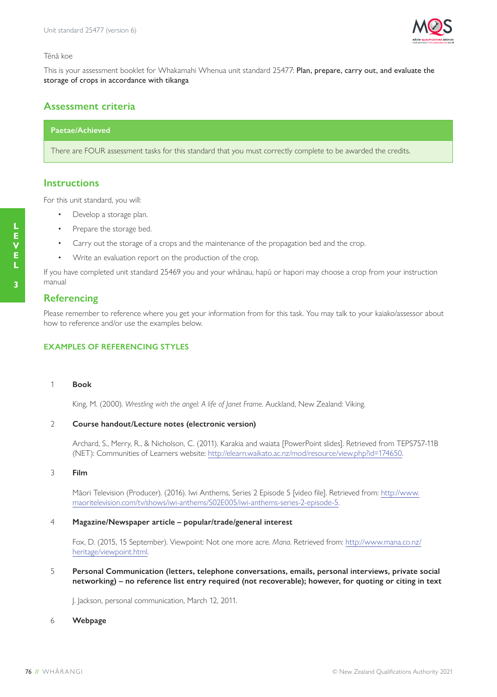

#### Tēnā koe

This is your assessment booklet for Whakamahi Whenua unit standard 25477: Plan, prepare, carry out, and evaluate the storage of crops in accordance with tikanga

## **Assessment criteria**

### **Paetae/Achieved**

There are FOUR assessment tasks for this standard that you must correctly complete to be awarded the credits.

#### **Instructions**

For this unit standard, you will:

- Develop a storage plan.
- Prepare the storage bed.
- Carry out the storage of a crops and the maintenance of the propagation bed and the crop.
- Write an evaluation report on the production of the crop.

If you have completed unit standard 25469 you and your whānau, hapū or hapori may choose a crop from your instruction manual

#### **Referencing**

Please remember to reference where you get your information from for this task. You may talk to your kaiako/assessor about how to reference and/or use the examples below.

#### **EXAMPLES OF REFERENCING STYLES**

#### 1 **Book**

King, M. (2000). *Wrestling with the angel: A life of Janet Frame*. Auckland, New Zealand: Viking.

#### 2 **Course handout/Lecture notes (electronic version)**

Archard, S., Merry, R., & Nicholson, C. (2011). Karakia and waiata [PowerPoint slides]. Retrieved from TEPS757-11B (NET): Communities of Learners website: http://elearn.waikato.ac.nz/mod/resource/view.php?id=174650.

#### 3 **Film**

Māori Television (Producer). (2016). Iwi Anthems, Series 2 Episode 5 [video file]. Retrieved from: http://www. maoritelevision.com/tv/shows/iwi-anthems/S02E005/iwi-anthems-series-2-episode-5.

#### 4 **Magazine/Newspaper article – popular/trade/general interest**

Fox, D. (2015, 15 September). Viewpoint: Not one more acre. *Mana*. Retrieved from: http://www.mana.co.nz/ heritage/viewpoint.html.

5 **Personal Communication (letters, telephone conversations, emails, personal interviews, private social networking) – no reference list entry required (not recoverable); however, for quoting or citing in text**

J. Jackson, personal communication, March 12, 2011.

#### 6 **Webpage**

**L E V E**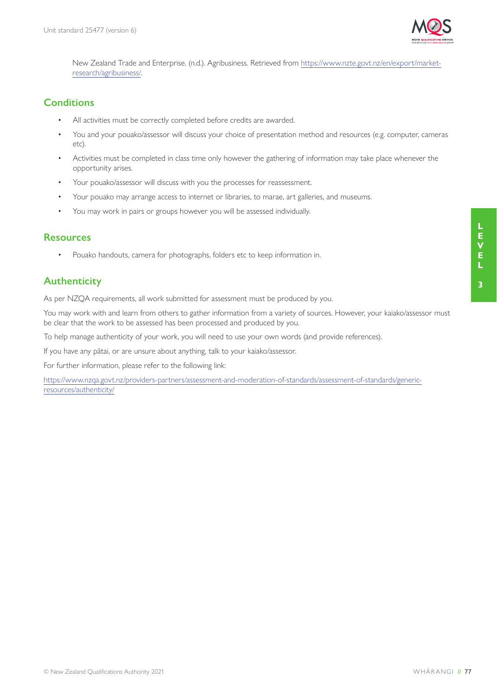

New Zealand Trade and Enterprise. (n.d.). Agribusiness. Retrieved from https://www.nzte.govt.nz/en/export/marketresearch/agribusiness/.

## **Conditions**

- All activities must be correctly completed before credits are awarded.
- You and your pouako/assessor will discuss your choice of presentation method and resources (e.g. computer, cameras etc).
- Activities must be completed in class time only however the gathering of information may take place whenever the opportunity arises.
- Your pouako/assessor will discuss with you the processes for reassessment.
- Your pouako may arrange access to internet or libraries, to marae, art galleries, and museums.
- You may work in pairs or groups however you will be assessed individually.

## **Resources**

• Pouako handouts, camera for photographs, folders etc to keep information in.

## **Authenticity**

As per NZQA requirements, all work submitted for assessment must be produced by you.

You may work with and learn from others to gather information from a variety of sources. However, your kaiako/assessor must be clear that the work to be assessed has been processed and produced by you.

To help manage authenticity of your work, you will need to use your own words (and provide references).

If you have any pātai, or are unsure about anything, talk to your kaiako/assessor.

For further information, please refer to the following link:

https://www.nzqa.govt.nz/providers-partners/assessment-and-moderation-of-standards/assessment-of-standards/genericresources/authenticity/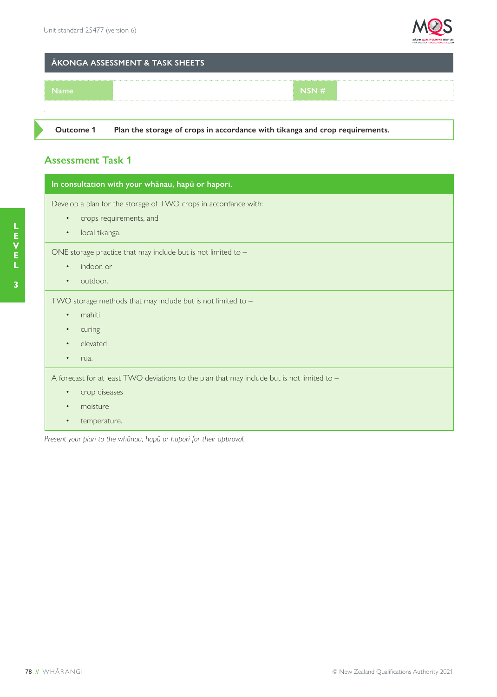

## **ĀKONGA ASSESSMENT & TASK SHEETS**



**Outcome 1 Plan the storage of crops in accordance with tikanga and crop requirements.**

## **Assessment Task 1**

| In consultation with your whanau, hapu or hapori.                                                       |
|---------------------------------------------------------------------------------------------------------|
| Develop a plan for the storage of TWO crops in accordance with:<br>crops requirements, and<br>$\bullet$ |
| local tikanga.<br>$\bullet$                                                                             |
| ONE storage practice that may include but is not limited to $-$                                         |
| indoor, or<br>$\bullet$                                                                                 |
| outdoor.<br>$\bullet$                                                                                   |
| TWO storage methods that may include but is not limited to $-$                                          |
| mahiti<br>$\bullet$                                                                                     |
| curing<br>$\bullet$                                                                                     |
| elevated<br>$\bullet$                                                                                   |
| rua.<br>$\bullet$                                                                                       |
| A forecast for at least TWO deviations to the plan that may include but is not limited to -             |
| crop diseases<br>$\bullet$                                                                              |
| moisture<br>$\bullet$                                                                                   |
| temperature.<br>$\bullet$                                                                               |
|                                                                                                         |

*Present your plan to the whānau, hapū or hapori for their approval.*